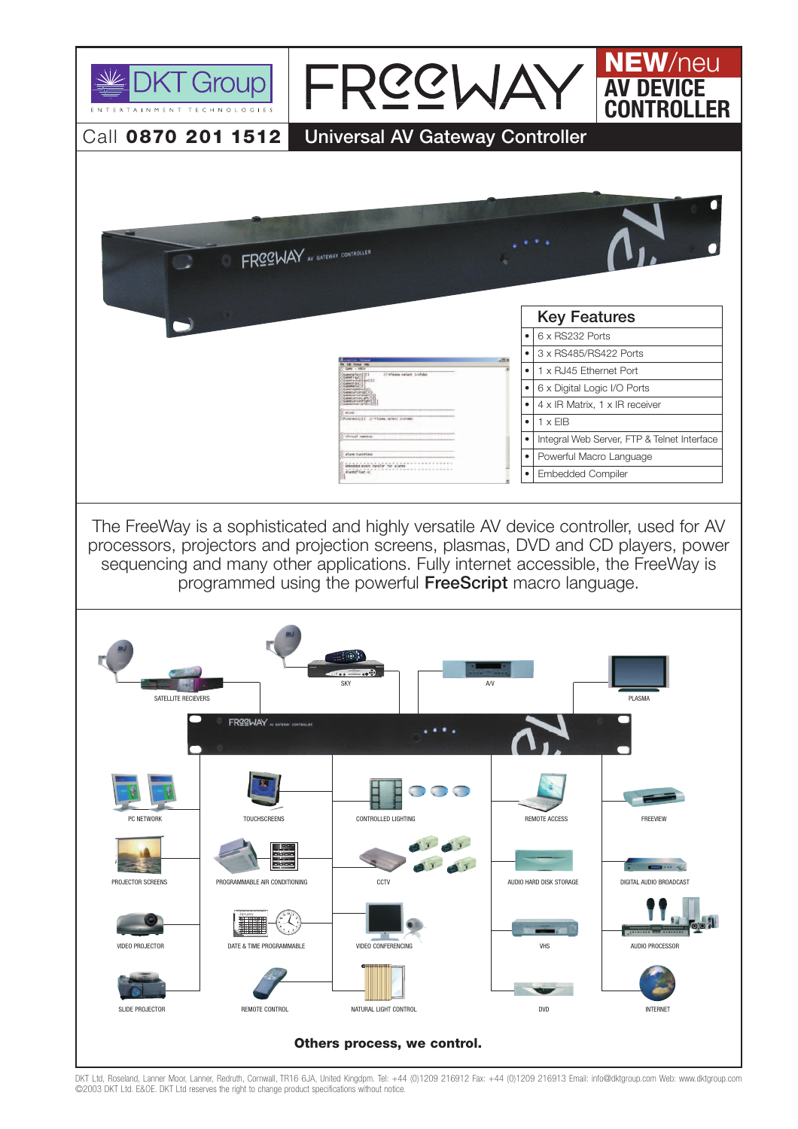

DKT Ltd, Roseland, Lanner Moor, Lanner, Redruth, Cornwall, TR16 6JA, United Kingdpm. Tel: +44 (0)1209 216912 Fax: +44 (0)1209 216913 Email: info@dktgroup.com Web: www.dktgroup.com ©2003 DKT Ltd. E&OE. DKT Ltd reserves the right to change product specifications without notice.